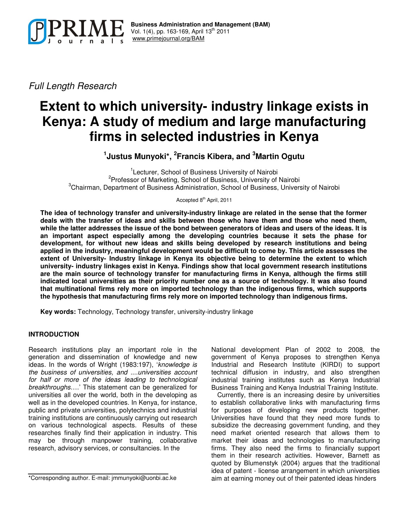

*Full Length Research*

# **Extent to which university- industry linkage exists in Kenya: A study of medium and large manufacturing firms in selected industries in Kenya**

**1 Justus Munyoki\*, 2 Francis Kibera, and <sup>3</sup>Martin Ogutu**

<sup>1</sup>Lecturer, School of Business University of Nairobi <sup>2</sup>Professor of Marketing, School of Business, University of Nairobi <sup>3</sup>Chairman, Department of Business Administration, School of Business, University of Nairobi

Accepted 8<sup>th</sup> April, 2011

**The idea of technology transfer and university-industry linkage are related in the sense that the former deals with the transfer of ideas and skills between those who have them and those who need them,** while the latter addresses the issue of the bond between generators of ideas and users of the ideas. It is **an important aspect especially among the developing countries because it sets the phase for development, for without new ideas and skills being developed by research institutions and being applied in the industry, meaningful development would be difficult to come by. This article assesses the extent of University- Industry linkage in Kenya its objective being to determine the extent to which university- industry linkages exist in Kenya. Findings show that local government research institutions are the main source of technology transfer for manufacturing firms in Kenya, although the firms still indicated local universities as their priority number one as a source of technology. It was also found that multinational firms rely more on imported technology than the indigenous firms, which supports the hypothesis that manufacturing firms rely more on imported technology than indigenous firms.**

**Key words:** Technology, Technology transfer, university-industry linkage

# **INTRODUCTION**

Research institutions play an important role in the generation and dissemination of knowledge and new ideas. In the words of Wright (1983:197), '*knowledge is the business of universities, and ....universities account for half or more of the ideas leading to technological breakthroughs*….' This statement can be generalized for universities all over the world, both in the developing as well as in the developed countries. In Kenya, for instance, public and private universities, polytechnics and industrial training institutions are continuously carrying out research on various technological aspects. Results of these researches finally find their application in industry. This may be through manpower training, collaborative research, advisory services, or consultancies. In the

National development Plan of 2002 to 2008, the government of Kenya proposes to strengthen Kenya Industrial and Research Institute (KIRDI) to support technical diffusion in industry, and also strengthen industrial training institutes such as Kenya Industrial Business Training and Kenya Industrial Training Institute.

Currently, there is an increasing desire by universities to establish collaborative links with manufacturing firms for purposes of developing new products together. Universities have found that they need more funds to subsidize the decreasing government funding, and they need market oriented research that allows them to market their ideas and technologies to manufacturing firms. They also need the firms to financially support them in their research activities. However, Barnett as quoted by Blumenstyk (2004) argues that the traditional idea of patent - license arrangement in which universities aim at earning money out of their patented ideas hinders

<sup>\*</sup>Corresponding author. E-mail: jmmunyoki@uonbi.ac.ke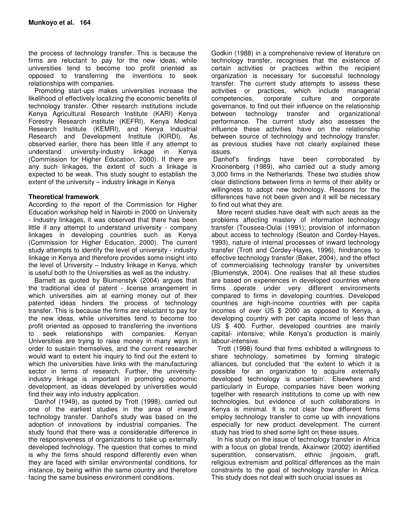the process of technology transfer. This is because the firms are reluctant to pay for the new ideas, while universities tend to become too profit oriented as opposed to transferring the inventions to seek relationships with companies.

Promoting start-ups makes universities increase the likelihood of effectively localizing the economic benefits of technology transfer. Other research institutions include Kenya Agricultural Research Institute (KARI) Kenya Forestry Research institute (KEFRI), Kenya Medical Research Institute (KEMRI), and Kenya Industrial Research and Development Institute (KIRDI). As observed earlier, there has been little if any attempt to understand university-industry linkage in Kenya (Commission for Higher Education, 2000). If there are any such linkages, the extent of such a linkage is expected to be weak. This study sought to establish the extent of the university – industry linkage in Kenya

# **Theoretical framework**

According to the report of the Commission for Higher Education workshop held in Nairobi in 2000 on University - Industry linkages, it was observed that there has been little if any attempt to understand university - company linkages in developing countries such as Kenya (Commission for Higher Education, 2000). The current study attempts to identify the level of university - industry linkage in Kenya and therefore provides some insight into the level of University – Industry linkage in Kenya, which is useful both to the Universities as well as the industry.

Barnett as quoted by Blumenstyk (2004) argues that the traditional idea of patent - license arrangement in which universities aim at earning money out of their patented ideas hinders the process of technology transfer. This is because the firms are reluctant to pay for the new ideas, while universities tend to become too profit oriented as opposed to transferring the inventions to seek relationships with companies. Kenyan Universities are trying to raise money in many ways in order to sustain themselves, and the current researcher would want to extent his inquiry to find out the extent to which the universities have links with the manufacturing sector in terms of research. Further, the universityindustry linkage is important in promoting economic development, as ideas developed by universities would find their way into industry application.

Danhof (1949), as quoted by Trott (1998), carried out one of the earliest studies in the area of inward technology transfer. Danhof's study was based on the adoption of innovations by industrial companies. The study found that there was a considerable difference in the responsiveness of organizations to take up externally developed technology. The question that comes to mind is why the firms should respond differently even when they are faced with similar environmental conditions, for instance, by being within the same country and therefore facing the same business environment conditions.

Godkin (1988) in a comprehensive review of literature on technology transfer, recognises that the existence of certain activities or practices within the recipient organization is necessary for successful technology transfer. The current study attempts to assess these activities or practices, which include managerial competencies, corporate culture and corporate governance, to find out their influence on the relationship between technology transfer and organizational performance. The current study also assesses the influence these activities have on the relationship between source of technology and technology transfer, as previous studies have not clearly explained these issues.

Danhof's findings have been corroborated by Kroonenberg (1989), who carried out a study among 3,000 firms in the Netherlands. These two studies show clear distinctions between firms in terms of their ability or willingness to adopt new technology. Reasons for the differences have not been given and it will be necessary to find out what they are.

More recent studies have dealt with such areas as the problems affecting mastery of information technology transfer (Toussea-Oulai (1991); provision of information about access to technology (Seaton and Cordey-Hayes, 1993), nature of internal processes of inward technology transfer (Trott and Cordey-Hayes, 1996), hindrances to effective technology transfer (Baker, 2004), and the effect of commercialising technology transfer by universities (Blumenstyk, 2004). One realises that all these studies are based on experiences in developed countries where firms operate under very different environments compared to firms in developing countries. Developed countries are high-income countries with per capita incomes of over US \$ 2000 as opposed to Kenya, a developing country with per capita income of less than US \$ 400. Further, developed countries are mainly capital- intensive; while Kenya's production is mainly labour-intensive.

Trott (1998) found that firms exhibited a willingness to share technology, sometimes by forming strategic alliances, but concluded that 'the extent to which it is possible for an organization to acquire externally developed technology is uncertain'. Elsewhere and particularly in Europe, companies have been working together with research institutions to come up with new technologies, but evidence of such collaborations in Kenya is minimal. It is not clear how different firms employ technology transfer to come up with innovations especially for new product development. The current study has tried to shed some light on these issues.

In his study on the issue of technology transfer in Africa with a focus on global trends, Akainwor (2002) identified superstition, conservatism, ethnic jingoism, graft, religious extremism and political differences as the main constraints to the goal of technology transfer in Africa. This study does not deal with such crucial issues as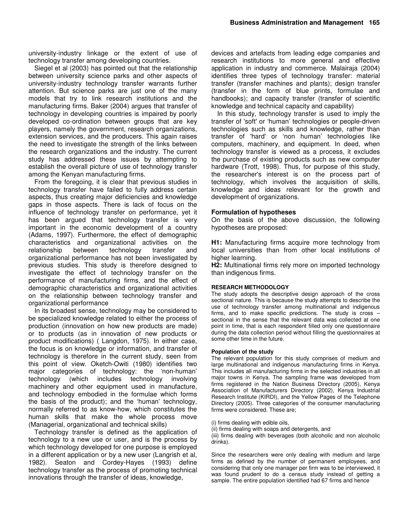university-industry linkage or the extent of use of technology transfer among developing countries.

Siegel et al (2003) has pointed out that the relationship between university science parks and other aspects of university-industry technology transfer warrants further attention. But science parks are just one of the many models that try to link research institutions and the manufacturing firms. Baker (2004) argues that transfer of technology in developing countries is impaired by poorly developed co-ordination between groups that are key players, namely the government, research organizations, extension services, and the producers. This again raises the need to investigate the strength of the links between the research organizations and the industry. The current study has addressed these issues by attempting to establish the overall picture of use of technology transfer among the Kenyan manufacturing firms.

From the foregoing, it is clear that previous studies in technology transfer have failed to fully address certain aspects, thus creating major deficiencies and knowledge gaps in those aspects. There is lack of focus on the influence of technology transfer on performance, yet it has been argued that technology transfer is very important in the economic development of a country (Adams, 1997). Furthermore, the effect of demographic characteristics and organizational activities on the relationship between technology transfer and organizational performance has not been investigated by previous studies. This study is therefore designed to investigate the effect of technology transfer on the performance of manufacturing firms, and the effect of demographic characteristics and organizational activities on the relationship between technology transfer and organizational performance

In its broadest sense, technology may be considered to be specialized knowledge related to either the process of production (innovation on how new products are made) or to products (as in innovation of new products or product modifications) ( Langdon, 1975). In either case, the focus is on knowledge or information, and transfer of technology is therefore in the current study, seen from this point of view. Oketch-Owiti (1980) identifies two major categories of technology: the 'non-human' technology (which includes technology involving machinery and other equipment used in manufacture, and technology embodied in the formulae which forms the basis of the product); and the 'human' technology, normally referred to as know-how, which constitutes the human skills that make the whole process move (Managerial, organizational and technical skills)

Technology transfer is defined as the application of technology to a new use or user, and is the process by which technology developed for one purpose is employed in a different application or by a new user (Langrish et al, 1982). Seaton and Cordey-Hayes (1993) define technology transfer as the process of promoting technical innovations through the transfer of ideas, knowledge,

devices and artefacts from leading edge companies and research institutions to more general and effective application in industry and commerce. Malairaja (2004) identifies three types of technology transfer: material transfer (transfer machines and plants); design transfer (transfer in the form of blue prints, formulae and handbooks); and capacity transfer (transfer of scientific knowledge and technical capacity and capability)

In this study, technology transfer is used to imply the transfer of 'soft'or 'human' technologies or people-driven technologies such as skills and knowledge, rather than transfer of 'hard' or 'non human' technologies like computers, machinery, and equipment. In deed, when technology transfer is viewed as a process, it excludes the purchase of existing products such as new computer hardware (Trott, 1998). Thus, for purpose of this study, the researcher's interest is on the process part of technology, which involves the acquisition of skills, knowledge and ideas relevant for the growth and development of organizations.

# **Formulation of hypotheses**

On the basis of the above discussion, the following hypotheses are proposed:

**H1:** Manufacturing firms acquire more technology from local universities than from other local institutions of higher learning.

**H2:** Multinational firms rely more on imported technology than indigenous firms.

# **RESEARCH METHODOLOGY**

The study adopts the descriptive design approach of the cross sectional nature. This is because the study attempts to describe the use of technology transfer among multinational and indigenous firms, and to make specific predictions. The study is cross – sectional in the sense that the relevant data was collected at one point in time, that is each respondent filled only one questionnaire during the data collection period without filling the questionnaires at some other time in the future.

# **Population of the study**

The relevant population for this study comprises of medium and large multinational and indigenous manufacturing firms in Kenya. This includes all manufacturing firms in the selected industries in all major towns in Kenya. The sampling frame was developed from firms registered in the Nation Business Directory (2005), Kenya Association of Manufacturers Directory (2002), Kenya Industrial Research Institute (KIRDI), and the Yellow Pages of the Telephone Directory (2005). Three categories of the consumer manufacturing firms were considered. These are;

- (i) firms dealing with edible oils,
- (ii) firms dealing with soaps and detergents, and

(iii) firms dealing with beverages (both alcoholic and non alcoholic drinks).

Since the researchers were only dealing with medium and large firms as defined by the number of permanent employees, and considering that only one manager per firm was to be interviewed, it was found prudent to do a census study instead of getting a sample. The entire population identified had 67 firms and hence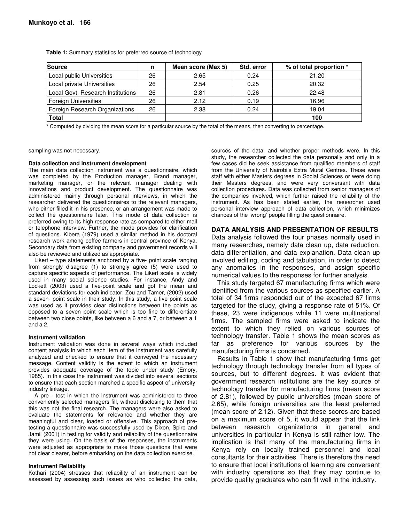| <b>Source</b>                     | n  | Mean score (Max 5) | Std. error | % of total proportion * |
|-----------------------------------|----|--------------------|------------|-------------------------|
| Local public Universities         | 26 | 2.65               | 0.24       | 21.20                   |
| Local private Universities        | 26 | 2.54               | 0.25       | 20.32                   |
| Local Govt. Research Institutions | 26 | 2.81               | 0.26       | 22.48                   |
| <b>Foreign Universities</b>       | 26 | 2.12               | 0.19       | 16.96                   |
| Foreign Research Organizations    | 26 | 2.38               | 0.24       | 19.04                   |
| <b>Total</b>                      |    |                    |            | 100                     |

**Table 1:** Summary statistics for preferred source of technology

\* Computed by dividing the mean score for a particular source by the total of the means, then converting to percentage.

sampling was not necessary.

#### **Data collection and instrument development**

The main data collection instrument was a questionnaire, which was completed by the Production manager, Brand manager, marketing manager, or the relevant manager dealing with innovations and product development. The questionnaire was administered mainly through personal interviews, in which the researcher delivered the questionnaires to the relevant managers, who either filled it in his presence, or an arrangement was made to collect the questionnaire later. This mode of data collection is preferred owing to its high response rate as compared to either mail or telephone interview. Further, the mode provides for clarification of questions. Kibera (1979) used a similar method in his doctoral research work among coffee farmers in central province of Kenya. Secondary data from existing company and government records will also be reviewed and utilized as appropriate.

Likert – type statements anchored by a five- point scale ranging from strongly disagree (1) to strongly agree (5) were used to capture specific aspects of performance. The Likert scale is widely used in many social science studies. For instance, Andy and Lockett (2003) used a five-point scale and got the mean and standard deviations for each indicator. Zou and Tamer, (2002) used a seven- point scale in their study. In this study, a five point scale was used as it provides clear distinctions between the points as opposed to a seven point scale which is too fine to differentiate between two close points, like between a 6 and a 7, or between a 1 and a 2.

#### **Instrument validation**

Instrument validation was done in several ways which included content analysis in which each item of the instrument was carefully analyzed and checked to ensure that it conveyed the necessary message. Content validity is the extent to which an instrument provides adequate coverage of the topic under study (Emory, 1985). In this case the instrument was divided into several sections to ensure that each section marched a specific aspect of universityindustry linkage.

A pre - test in which the instrument was administered to three conveniently selected managers fill, without disclosing to them that this was not the final research. The managers were also asked to evaluate the statements for relevance and whether they are meaningful and clear, loaded or offensive. This approach of pretesting a questionnaire was successfully used by Dixon, Spiro and Jamil (2001) in testing for validity and reliability of the questionnaire they were using. On the basis of the responses, the instruments were adjusted as appropriate to make those questions that were not clear clearer, before embarking on the data collection exercise.

#### **Instrument Reliability**

Kothari (2004) stresses that reliability of an instrument can be assessed by assessing such issues as who collected the data,

sources of the data, and whether proper methods were. In this study, the researcher collected the data personally and only in a few cases did he seek assistance from qualified members of staff from the University of Nairobi's Extra Mural Centres. These were staff with either Masters degrees in Social Sciences or were doing their Masters degrees, and were very conversant with data collection procedures. Data was collected from senior managers of the companies involved, which further raised the reliability of the instrument. As has been stated earlier, the researcher used personal interview approach of data collection, which minimizes chances of the 'wrong' people filling the questionnaire.

### **DATA ANALYSIS AND PRESENTATION OF RESULTS**

Data analysis followed the four phases normally used in many researches, namely data clean up, data reduction, data differentiation, and data explanation. Data clean up involved editing, coding and tabulation, in order to detect any anomalies in the responses, and assign specific numerical values to the responses for further analysis.

This study targeted 67 manufacturing firms which were identified from the various sources as specified earlier. A total of 34 firms responded out of the expected 67 firms targeted for the study, giving a response rate of 51%. Of these, 23 were indigenous while 11 were multinational firms. The sampled firms were asked to indicate the extent to which they relied on various sources of technology transfer. Table 1 shows the mean scores as far as preference for various sources by the manufacturing firms is concerned.

Results in Table 1 show that manufacturing firms get technology through technology transfer from all types of sources, but to different degrees. It was evident that government research institutions are the key source of technology transfer for manufacturing firms (mean score of 2.81), followed by public universities (mean score of 2.65), while foreign universities are the least preferred (mean score of 2.12). Given that these scores are based on a maximum score of 5, it would appear that the link between research organizations in general and universities in particular in Kenya is still rather low. The implication is that many of the manufacturing firms in Kenya rely on locally trained personnel and local consultants for their activities. There is therefore the need to ensure that local institutions of learning are conversant with industry operations so that they may continue to provide quality graduates who can fit well in the industry.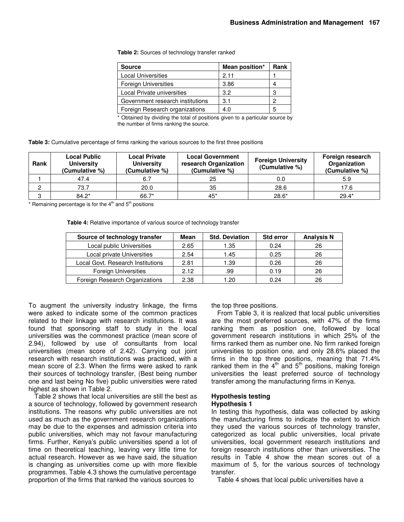**Table 2:** Sources of technology transfer ranked

| <b>Source</b>                    | Mean position* | Rank |
|----------------------------------|----------------|------|
| <b>Local Universities</b>        | 2.11           |      |
| <b>Foreign Universities</b>      | 3.86           |      |
| Local Private universities       | 3.2            | З    |
| Government research institutions | 3.1            | 0    |
| Foreign Research organizations   | 4.0            |      |

\* Obtained by dividing the total of positions given to a particular source by the number of firms ranking the source.

| Table 3: Cumulative percentage of firms ranking the various sources to the first three positions |  |  |
|--------------------------------------------------------------------------------------------------|--|--|
|--------------------------------------------------------------------------------------------------|--|--|

| Rank | <b>Local Public</b><br><b>University</b><br>(Cumulative %) | <b>Local Private</b><br><b>University</b><br>(Cumulative %) | <b>Local Government</b><br>research Organization<br>(Cumulative %) | <b>Foreign University</b><br>(Cumulative %) | Foreign research<br>Organization<br>(Cumulative %) |
|------|------------------------------------------------------------|-------------------------------------------------------------|--------------------------------------------------------------------|---------------------------------------------|----------------------------------------------------|
|      | 47.4                                                       | 6.7                                                         | 25                                                                 | 0.0                                         | 5.9                                                |
|      | 73.7                                                       | 20.0                                                        | 35                                                                 | 28.6                                        | 17.6                                               |
| C    | $84.2*$                                                    | 66.7*                                                       | $45*$                                                              | $28.6*$                                     | $29.4*$                                            |

\* Remaining percentage is for the  $4<sup>th</sup>$  and  $5<sup>th</sup>$  positions

**Table 4:** Relative importance of various source of technology transfer

| Source of technology transfer     | Mean | <b>Std. Deviation</b> | <b>Std error</b> | <b>Analysis N</b> |
|-----------------------------------|------|-----------------------|------------------|-------------------|
| Local public Universities         | 2.65 | 1.35                  | 0.24             | 26                |
| Local private Universities        | 2.54 | 1.45                  | 0.25             | 26                |
| Local Govt. Research Institutions | 2.81 | 1.39                  | 0.26             | 26                |
| <b>Foreign Universities</b>       | 2.12 | .99                   | 0.19             | 26                |
| Foreign Research Organizations    | 2.38 | 1.20                  | 0.24             | 26                |

To augment the university industry linkage, the firms were asked to indicate some of the common practices related to their linkage with research institutions. It was found that sponsoring staff to study in the local universities was the commonest practice (mean score of 2.94), followed by use of consultants from local universities (mean score of 2.42). Carrying out joint research with research institutions was practiced, with a mean score of 2.3. When the firms were asked to rank their sources of technology transfer, (Best being number one and last being No five) public universities were rated highest as shown in Table 2.

Table 2 shows that local universities are still the best as a source of technology, followed by government research institutions. The reasons why public universities are not used as much as the government research organizations may be due to the expenses and admission criteria into public universities, which may not favour manufacturing firms. Further, Kenya's public universities spend a lot of time on theoretical teaching, leaving very little time for actual research. However as we have said, the situation is changing as universities come up with more flexible programmes. Table 4.3 shows the cumulative percentage proportion of the firms that ranked the various sources to

the top three positions.

From Table 3, it is realized that local public universities are the most preferred sources, with 47% of the firms ranking them as position one, followed by local government research institutions in which 25% of the firms ranked them as number one. No firm ranked foreign universities to position one, and only 28.6% placed the firms in the top three positions, meaning that 71.4% ranked them in the  $4^{\text{th}}$  and  $5^{\text{th}}$  positions, making foreign universities the least preferred source of technology transfer among the manufacturing firms in Kenya.

# **Hypothesis testing Hypothesis 1**

In testing this hypothesis, data was collected by asking the manufacturing firms to indicate the extent to which they used the various sources of technology transfer, categorized as local public universities, local private universities, local government research institutions and foreign research institutions other than universities. The results in Table 4 show the mean scores out of a maximum of 5, for the various sources of technology transfer.

Table 4 shows that local public universities have a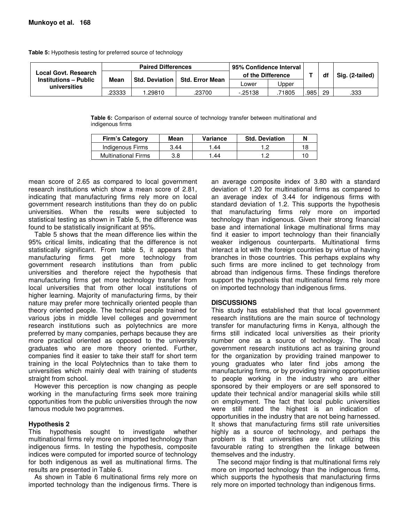**Table 5:** Hypothesis testing for preferred source of technology

| Local Govt. Research<br><b>Institutions – Public</b><br>universities | <b>Paired Differences</b> |                       |                        | 95% Confidence Interval |       |     |    |                 |
|----------------------------------------------------------------------|---------------------------|-----------------------|------------------------|-------------------------|-------|-----|----|-----------------|
|                                                                      |                           |                       | <b>Std. Error Mean</b> | of the Difference       |       |     | df | Sig. (2-tailed) |
|                                                                      | Mean                      | <b>Std. Deviation</b> |                        | _ower                   | Jpper |     |    |                 |
|                                                                      | .23333                    | .29810                | .23700                 | $-25138$                | 71805 | 985 | 29 | .333            |

**Table 6:** Comparison of external source of technology transfer between multinational and indigenous firms

| <b>Firm's Category</b>     | Mean | Variance | <b>Std. Deviation</b> |  |
|----------------------------|------|----------|-----------------------|--|
| Indigenous Firms           | 3.44 | .44      |                       |  |
| <b>Multinational Firms</b> | 3.8  | 44       |                       |  |

mean score of 2.65 as compared to local government research institutions which show a mean score of 2.81, indicating that manufacturing firms rely more on local government research institutions than they do on public universities. When the results were subjected to statistical testing as shown in Table 5, the difference was found to be statistically insignificant at 95%.

Table 5 shows that the mean difference lies within the 95% critical limits, indicating that the difference is not statistically significant. From table 5, it appears that manufacturing firms get more technology from government research institutions than from public universities and therefore reject the hypothesis that manufacturing firms get more technology transfer from local universities that from other local institutions of higher learning. Majority of manufacturing firms, by their nature may prefer more technically oriented people than theory oriented people. The technical people trained for various jobs in middle level colleges and government research institutions such as polytechnics are more preferred by many companies, perhaps because they are more practical oriented as opposed to the university graduates who are more theory oriented. Further, companies find it easier to take their staff for short term training in the local Polytechnics than to take them to universities which mainly deal with training of students straight from school.

However this perception is now changing as people working in the manufacturing firms seek more training opportunities from the public universities through the now famous module two pogrammes.

# **Hypothesis 2**

This hypothesis sought to investigate whether multinational firms rely more on imported technology than indigenous firms. In testing the hypothesis, composite indices were computed for imported source of technology for both indigenous as well as multinational firms. The results are presented in Table 6.

As shown in Table 6 multinational firms rely more on imported technology than the indigenous firms. There is

an average composite index of 3.80 with a standard deviation of 1.20 for multinational firms as compared to an average index of 3.44 for indigenous firms with standard deviation of 1.2. This supports the hypothesis that manufacturing firms rely more on imported technology than indigenous. Given their strong financial base and international linkage multinational firms may find it easier to import technology than their financially weaker indigenous counterparts. Multinational firms interact a lot with the foreign countries by virtue of having branches in those countries. This perhaps explains why such firms are more inclined to get technology from abroad than indigenous firms. These findings therefore support the hypothesis that multinational firms rely more on imported technology than indigenous firms.

# **DISCUSSIONS**

This study has established that that local government research institutions are the main source of technology transfer for manufacturing firms in Kenya, although the firms still indicated local universities as their priority number one as a source of technology. The local government research institutions act as training ground for the organization by providing trained manpower to young graduates who later find jobs among the manufacturing firms, or by providing training opportunities to people working in the industry who are either sponsored by their employers or are self sponsored to update their technical and/or managerial skills while still on employment. The fact that local public universities were still rated the highest is an indication of opportunities in the industry that are not being harnessed. It shows that manufacturing firms still rate universities highly as a source of technology, and perhaps the problem is that universities are not utilizing this favourable rating to strengthen the linkage between themselves and the industry.

The second major finding is that multinational firms rely more on imported technology than the indigenous firms, which supports the hypothesis that manufacturing firms rely more on imported technology than indigenous firms.